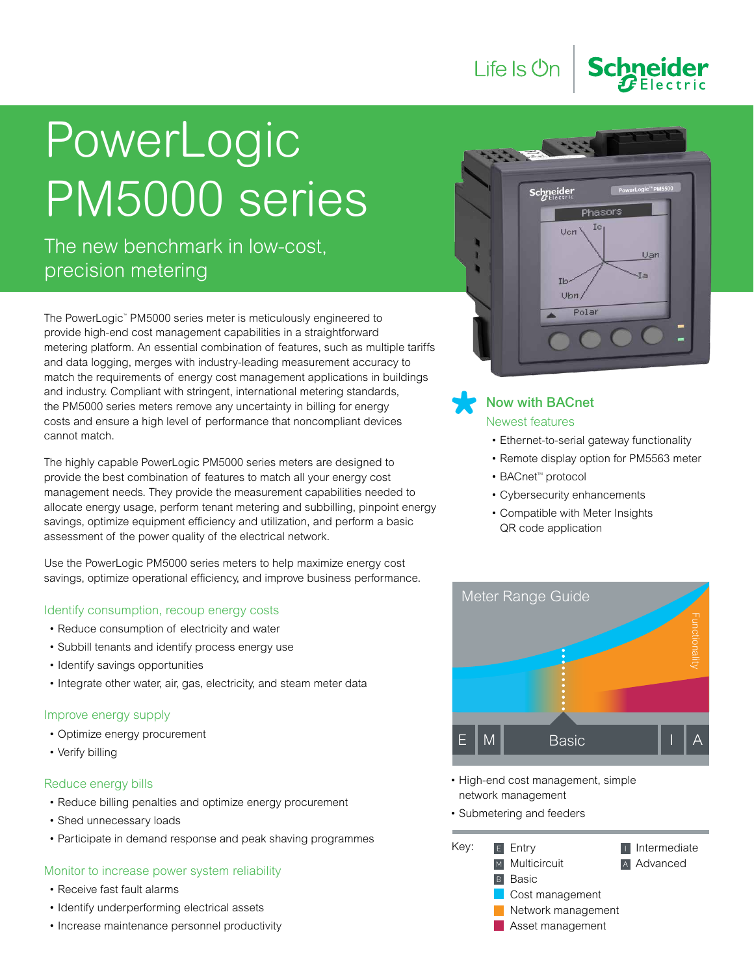

The new benchmark in low-cost, precision metering

The PowerLogic™ PM5000 series meter is meticulously engineered to provide high-end cost management capabilities in a straightforward metering platform. An essential combination of features, such as multiple tariffs and data logging, merges with industry-leading measurement accuracy to match the requirements of energy cost management applications in buildings and industry. Compliant with stringent, international metering standards, the PM5000 series meters remove any uncertainty in billing for energy costs and ensure a high level of performance that noncompliant devices cannot match.

The highly capable PowerLogic PM5000 series meters are designed to provide the best combination of features to match all your energy cost management needs. They provide the measurement capabilities needed to allocate energy usage, perform tenant metering and subbilling, pinpoint energy savings, optimize equipment efficiency and utilization, and perform a basic assessment of the power quality of the electrical network.

Use the PowerLogic PM5000 series meters to help maximize energy cost savings, optimize operational efficiency, and improve business performance.

## Identify consumption, recoup energy costs

- Reduce consumption of electricity and water
- Subbill tenants and identify process energy use
- Identify savings opportunities
- Integrate other water, air, gas, electricity, and steam meter data

## Improve energy supply

- • Optimize energy procurement
- • Verify billing

## Reduce energy bills

- Reduce billing penalties and optimize energy procurement
- Shed unnecessary loads
- Participate in demand response and peak shaving programmes

## Monitor to increase power system reliability

- • Receive fast fault alarms
- Identify underperforming electrical assets
- Increase maintenance personnel productivity



**Schnei** 

## Now with BACnet Newest features

Life Is **Un** 

- Ethernet-to-serial gateway functionality
- Remote display option for PM5563 meter
- BACnet<sup>™</sup> protocol
- • Cybersecurity enhancements
- • Compatible with Meter Insights QR code application



- High-end cost management, simple network management
- Submetering and feeders

| Key: | $E$ Entry        | I Intermediate     |  |  |  |  |  |  |
|------|------------------|--------------------|--|--|--|--|--|--|
|      | M Multicircuit   | A Advanced         |  |  |  |  |  |  |
|      | <b>B</b> Basic   |                    |  |  |  |  |  |  |
|      | Cost management  |                    |  |  |  |  |  |  |
|      |                  | Network management |  |  |  |  |  |  |
|      | Asset management |                    |  |  |  |  |  |  |